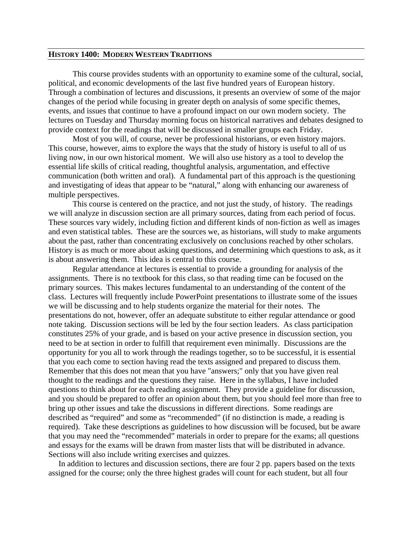#### **HISTORY 1400: MODERN WESTERN TRADITIONS**

 This course provides students with an opportunity to examine some of the cultural, social, political, and economic developments of the last five hundred years of European history. Through a combination of lectures and discussions, it presents an overview of some of the major changes of the period while focusing in greater depth on analysis of some specific themes, events, and issues that continue to have a profound impact on our own modern society. The lectures on Tuesday and Thursday morning focus on historical narratives and debates designed to provide context for the readings that will be discussed in smaller groups each Friday.

 Most of you will, of course, never be professional historians, or even history majors. This course, however, aims to explore the ways that the study of history is useful to all of us living now, in our own historical moment. We will also use history as a tool to develop the essential life skills of critical reading, thoughtful analysis, argumentation, and effective communication (both written and oral). A fundamental part of this approach is the questioning and investigating of ideas that appear to be "natural," along with enhancing our awareness of multiple perspectives.

 This course is centered on the practice, and not just the study, of history. The readings we will analyze in discussion section are all primary sources, dating from each period of focus. These sources vary widely, including fiction and different kinds of non-fiction as well as images and even statistical tables. These are the sources we, as historians, will study to make arguments about the past, rather than concentrating exclusively on conclusions reached by other scholars. History is as much or more about asking questions, and determining which questions to ask, as it is about answering them. This idea is central to this course.

 Regular attendance at lectures is essential to provide a grounding for analysis of the assignments. There is no textbook for this class, so that reading time can be focused on the primary sources. This makes lectures fundamental to an understanding of the content of the class. Lectures will frequently include PowerPoint presentations to illustrate some of the issues we will be discussing and to help students organize the material for their notes. The presentations do not, however, offer an adequate substitute to either regular attendance or good note taking. Discussion sections will be led by the four section leaders. As class participation constitutes 25% of your grade, and is based on your active presence in discussion section, you need to be at section in order to fulfill that requirement even minimally. Discussions are the opportunity for you all to work through the readings together, so to be successful, it is essential that you each come to section having read the texts assigned and prepared to discuss them. Remember that this does not mean that you have "answers;" only that you have given real thought to the readings and the questions they raise. Here in the syllabus, I have included questions to think about for each reading assignment. They provide a guideline for discussion, and you should be prepared to offer an opinion about them, but you should feel more than free to bring up other issues and take the discussions in different directions. Some readings are described as "required" and some as "recommended" (if no distinction is made, a reading is required). Take these descriptions as guidelines to how discussion will be focused, but be aware that you may need the "recommended" materials in order to prepare for the exams; all questions and essays for the exams will be drawn from master lists that will be distributed in advance. Sections will also include writing exercises and quizzes.

 In addition to lectures and discussion sections, there are four 2 pp. papers based on the texts assigned for the course; only the three highest grades will count for each student, but all four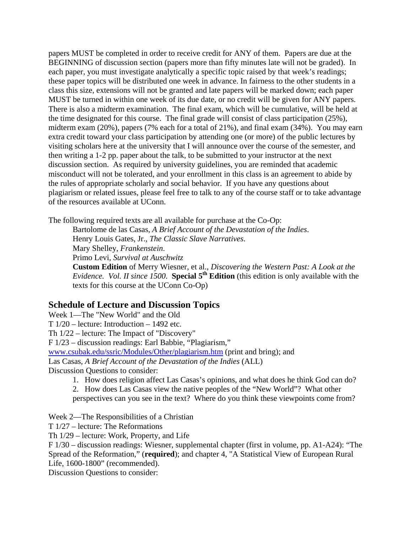papers MUST be completed in order to receive credit for ANY of them. Papers are due at the BEGINNING of discussion section (papers more than fifty minutes late will not be graded). In each paper, you must investigate analytically a specific topic raised by that week's readings; these paper topics will be distributed one week in advance. In fairness to the other students in a class this size, extensions will not be granted and late papers will be marked down; each paper MUST be turned in within one week of its due date, or no credit will be given for ANY papers. There is also a midterm examination. The final exam, which will be cumulative, will be held at the time designated for this course. The final grade will consist of class participation (25%), midterm exam (20%), papers (7% each for a total of 21%), and final exam (34%). You may earn extra credit toward your class participation by attending one (or more) of the public lectures by visiting scholars here at the university that I will announce over the course of the semester, and then writing a 1-2 pp. paper about the talk, to be submitted to your instructor at the next discussion section. As required by university guidelines, you are reminded that academic misconduct will not be tolerated, and your enrollment in this class is an agreement to abide by the rules of appropriate scholarly and social behavior. If you have any questions about plagiarism or related issues, please feel free to talk to any of the course staff or to take advantage of the resources available at UConn.

The following required texts are all available for purchase at the Co-Op:

Bartolome de las Casas, *A Brief Account of the Devastation of the Indies*. Henry Louis Gates, Jr., *The Classic Slave Narratives*. Mary Shelley, *Frankenstein*.

Primo Levi, *Survival at Auschwitz*

**Custom Edition** of Merry Wiesner, et al., *Discovering the Western Past: A Look at the Evidence. Vol. II since 1500*. **Special 5th Edition** (this edition is only available with the texts for this course at the UConn Co-Op)

# **Schedule of Lecture and Discussion Topics**

Week 1—The "New World" and the Old

T 1/20 – lecture: Introduction – 1492 etc.

Th 1/22 – lecture: The Impact of "Discovery"

F 1/23 – discussion readings: Earl Babbie, "Plagiarism,"

[www.csubak.edu/ssric/Modules/Other/plagiarism.htm](http://www.csubak.edu/ssric/Modules/Other/plagiarism.htm) (print and bring); and

Las Casas, *A Brief Account of the Devastation of the Indies* (ALL)

Discussion Questions to consider:

- 1. How does religion affect Las Casas's opinions, and what does he think God can do?
- 2. How does Las Casas view the native peoples of the "New World"? What other
- perspectives can you see in the text? Where do you think these viewpoints come from?

Week 2—The Responsibilities of a Christian

T 1/27 – lecture: The Reformations

Th 1/29 – lecture: Work, Property, and Life

F 1/30 – discussion readings: Wiesner, supplemental chapter (first in volume, pp. A1-A24): "The Spread of the Reformation," (**required**); and chapter 4, "A Statistical View of European Rural Life, 1600-1800" (recommended).

Discussion Questions to consider: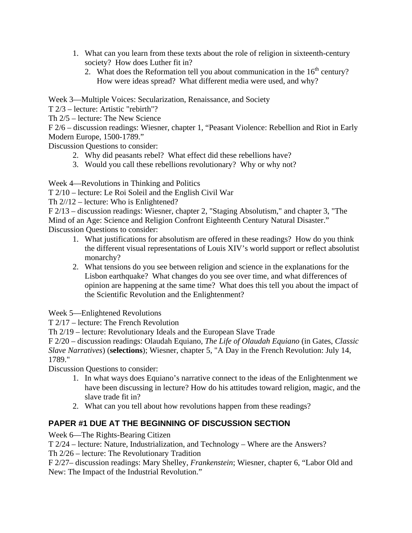- 1. What can you learn from these texts about the role of religion in sixteenth-century society? How does Luther fit in?
	- 2. What does the Reformation tell you about communication in the  $16<sup>th</sup>$  century? How were ideas spread? What different media were used, and why?

Week 3—Multiple Voices: Secularization, Renaissance, and Society

T 2/3 – lecture: Artistic "rebirth"?

Th 2/5 – lecture: The New Science

F 2/6 – discussion readings: Wiesner, chapter 1, "Peasant Violence: Rebellion and Riot in Early Modern Europe, 1500-1789."

Discussion Questions to consider:

- 2. Why did peasants rebel? What effect did these rebellions have?
- 3. Would you call these rebellions revolutionary? Why or why not?

Week 4—Revolutions in Thinking and Politics

T 2/10 – lecture: Le Roi Soleil and the English Civil War

Th 2//12 – lecture: Who is Enlightened?

F 2/13 – discussion readings: Wiesner, chapter 2, "Staging Absolutism," and chapter 3, "The Mind of an Age: Science and Religion Confront Eighteenth Century Natural Disaster." Discussion Questions to consider:

- 1. What justifications for absolutism are offered in these readings? How do you think the different visual representations of Louis XIV's world support or reflect absolutist monarchy?
- 2. What tensions do you see between religion and science in the explanations for the Lisbon earthquake? What changes do you see over time, and what differences of opinion are happening at the same time? What does this tell you about the impact of the Scientific Revolution and the Enlightenment?

Week 5—Enlightened Revolutions

T 2/17 – lecture: The French Revolution

Th 2/19 – lecture: Revolutionary Ideals and the European Slave Trade

F 2/20 – discussion readings: Olaudah Equiano, *The Life of Olaudah Equiano* (in Gates, *Classic Slave Narratives*) (**selections**); Wiesner, chapter 5, "A Day in the French Revolution: July 14, 1789."

Discussion Questions to consider:

- 1. In what ways does Equiano's narrative connect to the ideas of the Enlightenment we have been discussing in lecture? How do his attitudes toward religion, magic, and the slave trade fit in?
- 2. What can you tell about how revolutions happen from these readings?

# **PAPER #1 DUE AT THE BEGINNING OF DISCUSSION SECTION**

Week 6—The Rights-Bearing Citizen

T 2/24 – lecture: Nature, Industrialization, and Technology – Where are the Answers?

Th 2/26 – lecture: The Revolutionary Tradition

F 2/27– discussion readings: Mary Shelley, *Frankenstein*; Wiesner, chapter 6, "Labor Old and New: The Impact of the Industrial Revolution."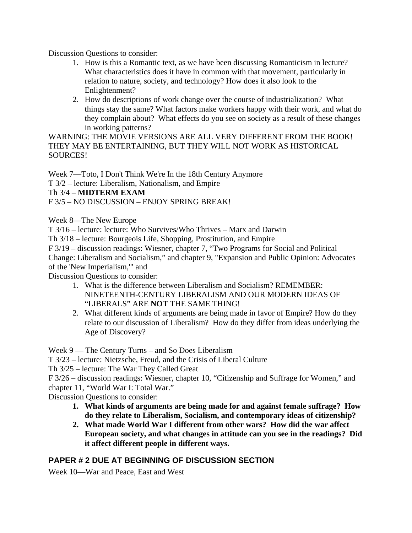Discussion Questions to consider:

- 1. How is this a Romantic text, as we have been discussing Romanticism in lecture? What characteristics does it have in common with that movement, particularly in relation to nature, society, and technology? How does it also look to the Enlightenment?
- 2. How do descriptions of work change over the course of industrialization? What things stay the same? What factors make workers happy with their work, and what do they complain about? What effects do you see on society as a result of these changes in working patterns?

WARNING: THE MOVIE VERSIONS ARE ALL VERY DIFFERENT FROM THE BOOK! THEY MAY BE ENTERTAINING, BUT THEY WILL NOT WORK AS HISTORICAL SOURCES!

Week 7—Toto, I Don't Think We're In the 18th Century Anymore

T 3/2 – lecture: Liberalism, Nationalism, and Empire

Th 3/4 – **MIDTERM EXAM**

F 3/5 – NO DISCUSSION – ENJOY SPRING BREAK!

Week 8—The New Europe

T 3/16 – lecture: lecture: Who Survives/Who Thrives – Marx and Darwin

Th 3/18 – lecture: Bourgeois Life, Shopping, Prostitution, and Empire

F 3/19 – discussion readings: Wiesner, chapter 7, "Two Programs for Social and Political Change: Liberalism and Socialism," and chapter 9, "Expansion and Public Opinion: Advocates of the 'New Imperialism,'" and

Discussion Questions to consider:

- 1. What is the difference between Liberalism and Socialism? REMEMBER: NINETEENTH-CENTURY LIBERALISM AND OUR MODERN IDEAS OF "LIBERALS" ARE **NOT** THE SAME THING!
- 2. What different kinds of arguments are being made in favor of Empire? How do they relate to our discussion of Liberalism? How do they differ from ideas underlying the Age of Discovery?

Week 9 — The Century Turns – and So Does Liberalism

T 3/23 – lecture: Nietzsche, Freud, and the Crisis of Liberal Culture

Th 3/25 – lecture: The War They Called Great

F 3/26 – discussion readings: Wiesner, chapter 10, "Citizenship and Suffrage for Women," and chapter 11, "World War I: Total War."

Discussion Questions to consider:

- **1. What kinds of arguments are being made for and against female suffrage? How do they relate to Liberalism, Socialism, and contemporary ideas of citizenship?**
- **2. What made World War I different from other wars? How did the war affect European society, and what changes in attitude can you see in the readings? Did it affect different people in different ways.**

## **PAPER # 2 DUE AT BEGINNING OF DISCUSSION SECTION**

Week 10—War and Peace, East and West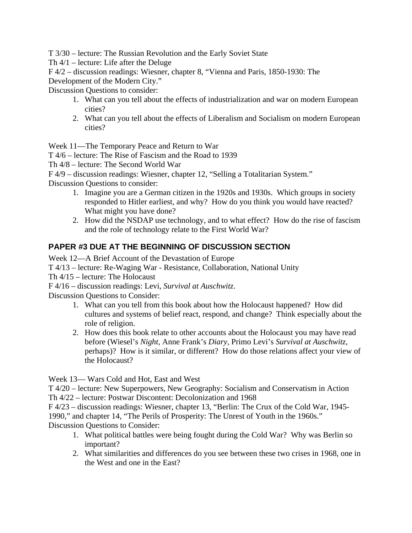T 3/30 – lecture: The Russian Revolution and the Early Soviet State

Th 4/1 – lecture: Life after the Deluge

F 4/2 – discussion readings: Wiesner, chapter 8, "Vienna and Paris, 1850-1930: The

Development of the Modern City."

Discussion Questions to consider:

- 1. What can you tell about the effects of industrialization and war on modern European cities?
- 2. What can you tell about the effects of Liberalism and Socialism on modern European cities?

Week 11—The Temporary Peace and Return to War

T 4/6 – lecture: The Rise of Fascism and the Road to 1939

Th 4/8 – lecture: The Second World War

F 4/9 – discussion readings: Wiesner, chapter 12, "Selling a Totalitarian System."

Discussion Questions to consider:

- 1. Imagine you are a German citizen in the 1920s and 1930s. Which groups in society responded to Hitler earliest, and why? How do you think you would have reacted? What might you have done?
- 2. How did the NSDAP use technology, and to what effect? How do the rise of fascism and the role of technology relate to the First World War?

# **PAPER #3 DUE AT THE BEGINNING OF DISCUSSION SECTION**

Week 12—A Brief Account of the Devastation of Europe

T 4/13 – lecture: Re-Waging War - Resistance, Collaboration, National Unity

Th 4/15 – lecture: The Holocaust

F 4/16 – discussion readings: Levi, *Survival at Auschwitz*.

Discussion Questions to Consider:

- 1. What can you tell from this book about how the Holocaust happened? How did cultures and systems of belief react, respond, and change? Think especially about the role of religion.
- 2. How does this book relate to other accounts about the Holocaust you may have read before (Wiesel's *Night*, Anne Frank's *Diary*, Primo Levi's *Survival at Auschwitz*, perhaps)? How is it similar, or different? How do those relations affect your view of the Holocaust?

Week 13— Wars Cold and Hot, East and West

T 4/20 – lecture: New Superpowers, New Geography: Socialism and Conservatism in Action Th 4/22 – lecture: Postwar Discontent: Decolonization and 1968

F 4/23 – discussion readings: Wiesner, chapter 13, "Berlin: The Crux of the Cold War, 1945- 1990," and chapter 14, "The Perils of Prosperity: The Unrest of Youth in the 1960s."

Discussion Questions to Consider:

- 1. What political battles were being fought during the Cold War? Why was Berlin so important?
- 2. What similarities and differences do you see between these two crises in 1968, one in the West and one in the East?